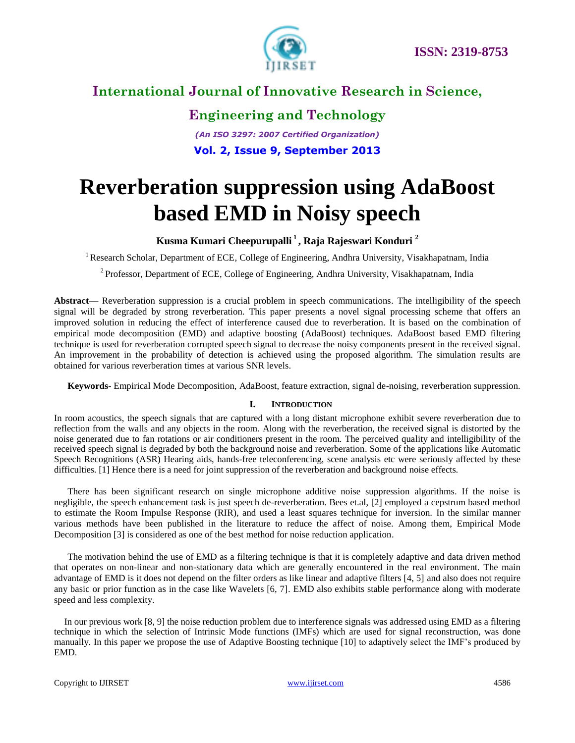

**Engineering and Technology** *(An ISO 3297: 2007 Certified Organization)* **Vol. 2, Issue 9, September 2013**

# **Reverberation suppression using AdaBoost based EMD in Noisy speech**

#### **Kusma Kumari Cheepurupalli <sup>1</sup> , Raja Rajeswari Konduri <sup>2</sup>**

<sup>1</sup> Research Scholar, Department of ECE, College of Engineering, Andhra University, Visakhapatnam, India

<sup>2</sup> Professor, Department of ECE, College of Engineering, Andhra University, Visakhapatnam, India

**Abstract**— Reverberation suppression is a crucial problem in speech communications. The intelligibility of the speech signal will be degraded by strong reverberation. This paper presents a novel signal processing scheme that offers an improved solution in reducing the effect of interference caused due to reverberation. It is based on the combination of empirical mode decomposition (EMD) and adaptive boosting (AdaBoost) techniques. AdaBoost based EMD filtering technique is used for reverberation corrupted speech signal to decrease the noisy components present in the received signal. An improvement in the probability of detection is achieved using the proposed algorithm. The simulation results are obtained for various reverberation times at various SNR levels.

**Keywords**- Empirical Mode Decomposition, AdaBoost, feature extraction, signal de-noising, reverberation suppression.

#### **I. INTRODUCTION**

In room acoustics, the speech signals that are captured with a long distant microphone exhibit severe reverberation due to reflection from the walls and any objects in the room. Along with the reverberation, the received signal is distorted by the noise generated due to fan rotations or air conditioners present in the room. The perceived quality and intelligibility of the received speech signal is degraded by both the background noise and reverberation. Some of the applications like Automatic Speech Recognitions (ASR) Hearing aids, hands-free teleconferencing, scene analysis etc were seriously affected by these difficulties. [1] Hence there is a need for joint suppression of the reverberation and background noise effects.

There has been significant research on single microphone additive noise suppression algorithms. If the noise is negligible, the speech enhancement task is just speech de-reverberation. Bees et.al, [2] employed a cepstrum based method to estimate the Room Impulse Response (RIR), and used a least squares technique for inversion. In the similar manner various methods have been published in the literature to reduce the affect of noise. Among them, Empirical Mode Decomposition [3] is considered as one of the best method for noise reduction application.

The motivation behind the use of EMD as a filtering technique is that it is completely adaptive and data driven method that operates on non-linear and non-stationary data which are generally encountered in the real environment. The main advantage of EMD is it does not depend on the filter orders as like linear and adaptive filters [4, 5] and also does not require any basic or prior function as in the case like Wavelets [6, 7]. EMD also exhibits stable performance along with moderate speed and less complexity.

In our previous work [8, 9] the noise reduction problem due to interference signals was addressed using EMD as a filtering technique in which the selection of Intrinsic Mode functions (IMFs) which are used for signal reconstruction, was done manually. In this paper we propose the use of Adaptive Boosting technique [10] to adaptively select the IMF's produced by EMD.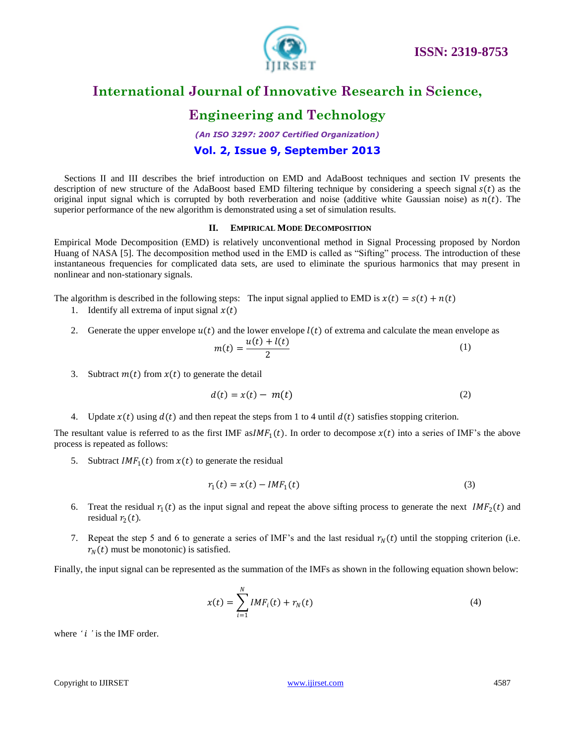

#### **Engineering and Technology**

*(An ISO 3297: 2007 Certified Organization)*

#### **Vol. 2, Issue 9, September 2013**

Sections II and III describes the brief introduction on EMD and AdaBoost techniques and section IV presents the description of new structure of the AdaBoost based EMD filtering technique by considering a speech signal  $s(t)$  as the original input signal which is corrupted by both reverberation and noise (additive white Gaussian noise) as  $n(t)$ . The superior performance of the new algorithm is demonstrated using a set of simulation results.

#### **II. EMPIRICAL MODE DECOMPOSITION**

Empirical Mode Decomposition (EMD) is relatively unconventional method in Signal Processing proposed by Nordon Huang of NASA [5]. The decomposition method used in the EMD is called as "Sifting" process. The introduction of these instantaneous frequencies for complicated data sets, are used to eliminate the spurious harmonics that may present in nonlinear and non-stationary signals.

The algorithm is described in the following steps: The input signal applied to EMD is  $x(t) = s(t) + n(t)$ 

- 1. Identify all extrema of input signal  $x(t)$
- 2. Generate the upper envelope  $u(t)$  and the lower envelope  $l(t)$  of extrema and calculate the mean envelope as

$$
m(t) = \frac{u(t) + l(t)}{2} \tag{1}
$$

3. Subtract  $m(t)$  from  $x(t)$  to generate the detail

$$
d(t) = x(t) - m(t) \tag{2}
$$

4. Update  $x(t)$  using  $d(t)$  and then repeat the steps from 1 to 4 until  $d(t)$  satisfies stopping criterion.

The resultant value is referred to as the first IMF as  $IMF_1(t)$ . In order to decompose  $x(t)$  into a series of IMF's the above process is repeated as follows:

5. Subtract  $IMF_1(t)$  from  $x(t)$  to generate the residual

$$
r_1(t) = x(t) - IMF_1(t) \tag{3}
$$

- 6. Treat the residual  $r_1(t)$  as the input signal and repeat the above sifting process to generate the next  $IMF_2(t)$  and residual  $r_2(t)$ .
- 7. Repeat the step 5 and 6 to generate a series of IMF's and the last residual  $r<sub>N</sub>(t)$  until the stopping criterion (i.e.  $r_N(t)$  must be monotonic) is satisfied.

Finally, the input signal can be represented as the summation of the IMFs as shown in the following equation shown below:

$$
x(t) = \sum_{i=1}^{N} IMF_i(t) + r_N(t)
$$
 (4)

where '*i*' is the IMF order.

Copyright to IJIRSET and the control of the control [www.ijirset.com](http://www.ijirset.com/) and the control of the control of the control of the control of the control of the control of the control of the control of the control of the control of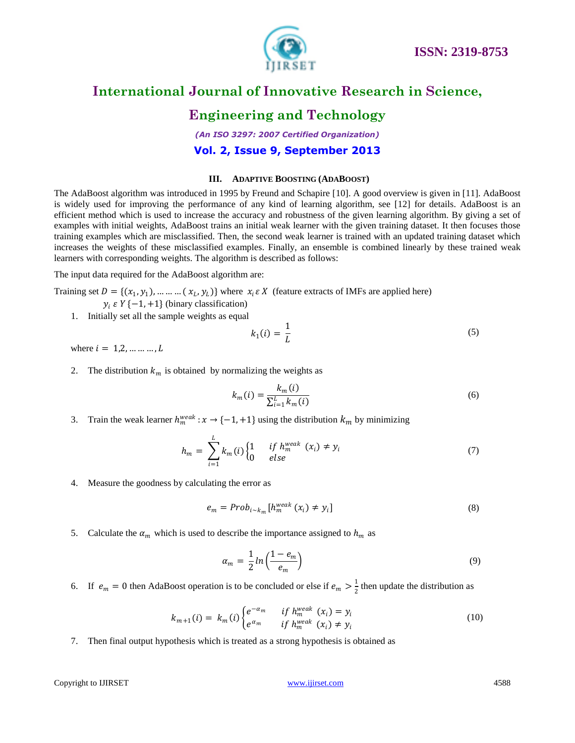

## **Engineering and Technology**

*(An ISO 3297: 2007 Certified Organization)*

#### **Vol. 2, Issue 9, September 2013**

#### **III. ADAPTIVE BOOSTING (ADABOOST)**

The AdaBoost algorithm was introduced in 1995 by Freund and Schapire [10]. A good overview is given in [11]. AdaBoost is widely used for improving the performance of any kind of learning algorithm, see [12] for details. AdaBoost is an efficient method which is used to increase the accuracy and robustness of the given learning algorithm. By giving a set of examples with initial weights, AdaBoost trains an initial weak learner with the given training dataset. It then focuses those training examples which are misclassified. Then, the second weak learner is trained with an updated training dataset which increases the weights of these misclassified examples. Finally, an ensemble is combined linearly by these trained weak learners with corresponding weights. The algorithm is described as follows:

The input data required for the AdaBoost algorithm are:

Training set 
$$
D = \{(x_1, y_1), \dots, (x_L, y_L)\}
$$
 where  $x_i \in X$  (feature extracts of IMFs are applied here)  
 $y_i \in Y \{-1, +1\}$  (binary classification)

1. Initially set all the sample weights as equal

$$
k_1(i) = \frac{1}{L} \tag{5}
$$

where  $i = 1, 2, ..., ..., L$ 

2. The distribution  $k_m$  is obtained by normalizing the weights as

$$
k_m(i) = \frac{k_m(i)}{\sum_{i=1}^{L} k_m(i)}
$$
(6)

3. Train the weak learner  $h_m^{weak}: x \to \{-1, +1\}$  using the distribution  $k_m$  by minimizing

$$
h_m = \sum_{i=1}^{L} k_m(i) \begin{cases} 1 & \text{if } h_m^{\text{weak}}(x_i) \neq y_i \\ 0 & \text{else} \end{cases} \tag{7}
$$

4. Measure the goodness by calculating the error as

$$
e_m = Prob_{i \sim k_m} [h_m^{weak}(x_i) \neq y_i]
$$
\n(8)

5. Calculate the  $\alpha_m$  which is used to describe the importance assigned to  $h_m$  as

$$
\alpha_m = \frac{1}{2} \ln \left( \frac{1 - e_m}{e_m} \right) \tag{9}
$$

6. If  $e_m = 0$  then AdaBoost operation is to be concluded or else if  $e_m > \frac{1}{2}$  $\frac{1}{2}$  then update the distribution as

$$
k_{m+1}(i) = k_m(i) \begin{cases} e^{-\alpha_m} & \text{if } h_m^{\text{weak}}(x_i) = y_i \\ e^{\alpha_m} & \text{if } h_m^{\text{weak}}(x_i) \neq y_i \end{cases} \tag{10}
$$

7. Then final output hypothesis which is treated as a strong hypothesis is obtained as

#### Copyright to IJIRSET and the control of the control [www.ijirset.com](http://www.ijirset.com/) and the control of the control of the control of the control of the control of the control of the control of the control of the control of the control of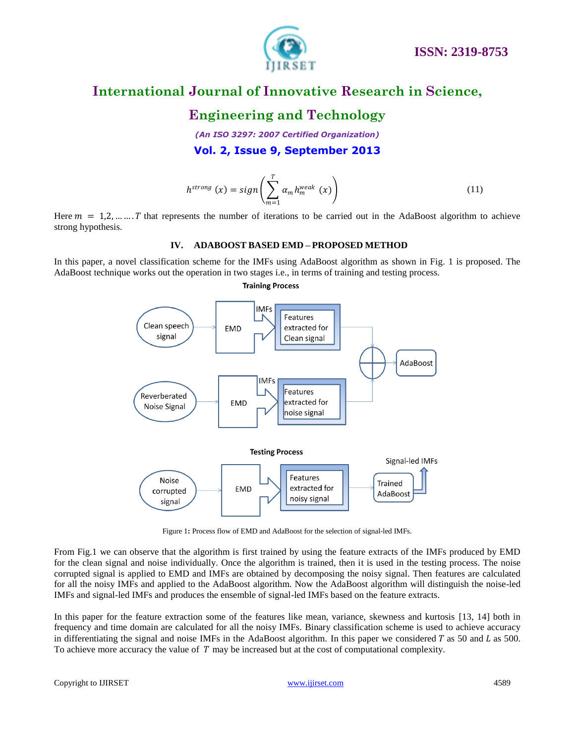

## **Engineering and Technology**

*(An ISO 3297: 2007 Certified Organization)*

**Vol. 2, Issue 9, September 2013**

$$
h^{strong}(x) = sign\left(\sum_{m=1}^{T} \alpha_m h_m^{weak}(x)\right)
$$
\n(11)

Here  $m = 1, 2, \dots, T$  that represents the number of iterations to be carried out in the AdaBoost algorithm to achieve strong hypothesis.

#### **IV. ADABOOST BASED EMD – PROPOSED METHOD**

In this paper, a novel classification scheme for the IMFs using AdaBoost algorithm as shown in Fig. 1 is proposed. The AdaBoost technique works out the operation in two stages i.e., in terms of training and testing process.



**Training Process** 

Figure 1**:** Process flow of EMD and AdaBoost for the selection of signal-led IMFs.

From Fig.1 we can observe that the algorithm is first trained by using the feature extracts of the IMFs produced by EMD for the clean signal and noise individually. Once the algorithm is trained, then it is used in the testing process. The noise corrupted signal is applied to EMD and IMFs are obtained by decomposing the noisy signal. Then features are calculated for all the noisy IMFs and applied to the AdaBoost algorithm. Now the AdaBoost algorithm will distinguish the noise-led IMFs and signal-led IMFs and produces the ensemble of signal-led IMFs based on the feature extracts.

In this paper for the feature extraction some of the features like mean, variance, skewness and kurtosis [13, 14] both in frequency and time domain are calculated for all the noisy IMFs. Binary classification scheme is used to achieve accuracy in differentiating the signal and noise IMFs in the AdaBoost algorithm. In this paper we considered  $T$  as 50 and  $L$  as 500. To achieve more accuracy the value of  $T$  may be increased but at the cost of computational complexity.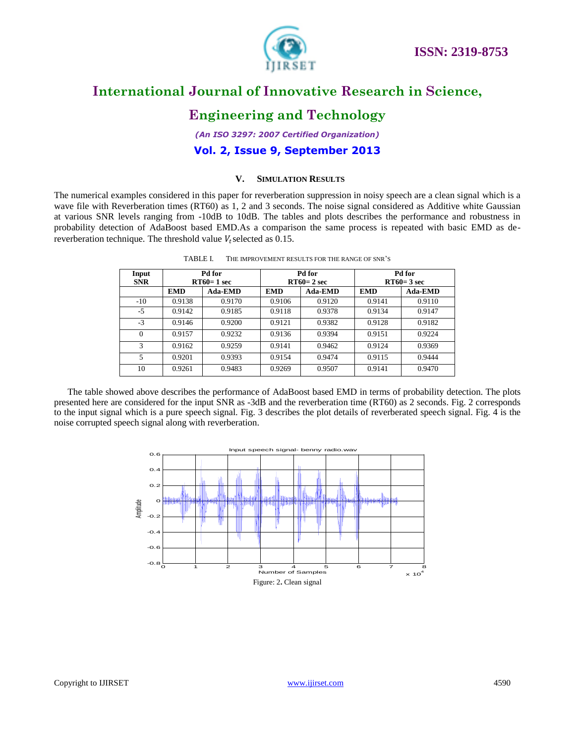

## **Engineering and Technology**

*(An ISO 3297: 2007 Certified Organization)*

**Vol. 2, Issue 9, September 2013**

#### **V. SIMULATION RESULTS**

The numerical examples considered in this paper for reverberation suppression in noisy speech are a clean signal which is a wave file with Reverberation times (RT60) as 1, 2 and 3 seconds. The noise signal considered as Additive white Gaussian at various SNR levels ranging from -10dB to 10dB. The tables and plots describes the performance and robustness in probability detection of AdaBoost based EMD.As a comparison the same process is repeated with basic EMD as dereverberation technique. The threshold value  $V_t$  selected as 0.15.

| Input<br><b>SNR</b> | Pd for<br>$RT60=1$ sec |                | Pd for<br>$RT60=2 sec$ |                | Pd for<br>$RT60=3 sec$ |         |
|---------------------|------------------------|----------------|------------------------|----------------|------------------------|---------|
|                     | <b>EMD</b>             | <b>Ada-EMD</b> | <b>EMD</b>             | <b>Ada-EMD</b> | <b>EMD</b>             | Ada-EMD |
| $-10$               | 0.9138                 | 0.9170         | 0.9106                 | 0.9120         | 0.9141                 | 0.9110  |
| $-5$                | 0.9142                 | 0.9185         | 0.9118                 | 0.9378         | 0.9134                 | 0.9147  |
| $-3$                | 0.9146                 | 0.9200         | 0.9121                 | 0.9382         | 0.9128                 | 0.9182  |
| $\mathbf{0}$        | 0.9157                 | 0.9232         | 0.9136                 | 0.9394         | 0.9151                 | 0.9224  |
| 3                   | 0.9162                 | 0.9259         | 0.9141                 | 0.9462         | 0.9124                 | 0.9369  |
| 5                   | 0.9201                 | 0.9393         | 0.9154                 | 0.9474         | 0.9115                 | 0.9444  |
| 10                  | 0.9261                 | 0.9483         | 0.9269                 | 0.9507         | 0.9141                 | 0.9470  |

| TABLE I. | THE IMPROVEMENT RESULTS FOR THE RANGE OF SNR'S |
|----------|------------------------------------------------|
|          |                                                |

The table showed above describes the performance of AdaBoost based EMD in terms of probability detection. The plots presented here are considered for the input SNR as -3dB and the reverberation time (RT60) as 2 seconds. Fig. 2 corresponds to the input signal which is a pure speech signal. Fig. 3 describes the plot details of reverberated speech signal. Fig. 4 is the noise corrupted speech signal along with reverberation.

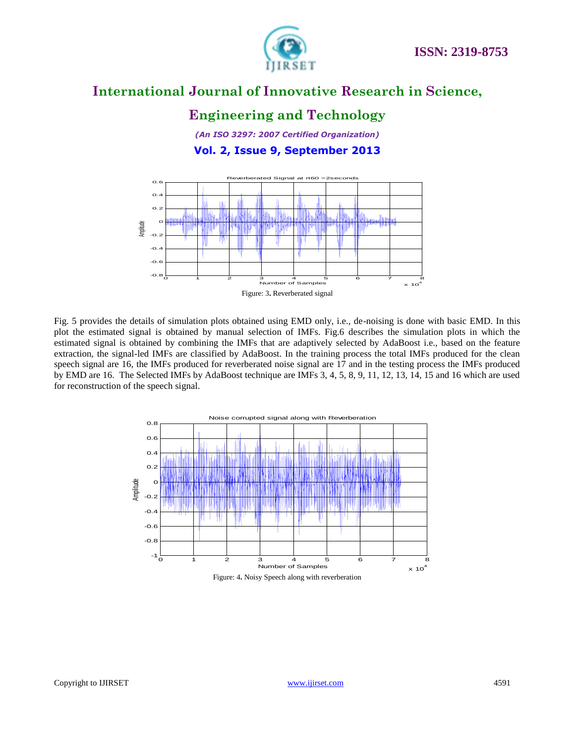

## **Engineering and Technology**

*(An ISO 3297: 2007 Certified Organization)* **Vol. 2, Issue 9, September 2013**



Fig. 5 provides the details of simulation plots obtained using EMD only, i.e., de-noising is done with basic EMD. In this plot the estimated signal is obtained by manual selection of IMFs. Fig.6 describes the simulation plots in which the estimated signal is obtained by combining the IMFs that are adaptively selected by AdaBoost i.e., based on the feature extraction, the signal-led IMFs are classified by AdaBoost. In the training process the total IMFs produced for the clean speech signal are 16, the IMFs produced for reverberated noise signal are 17 and in the testing process the IMFs produced by EMD are 16. The Selected IMFs by AdaBoost technique are IMFs 3, 4, 5, 8, 9, 11, 12, 13, 14, 15 and 16 which are used for reconstruction of the speech signal.

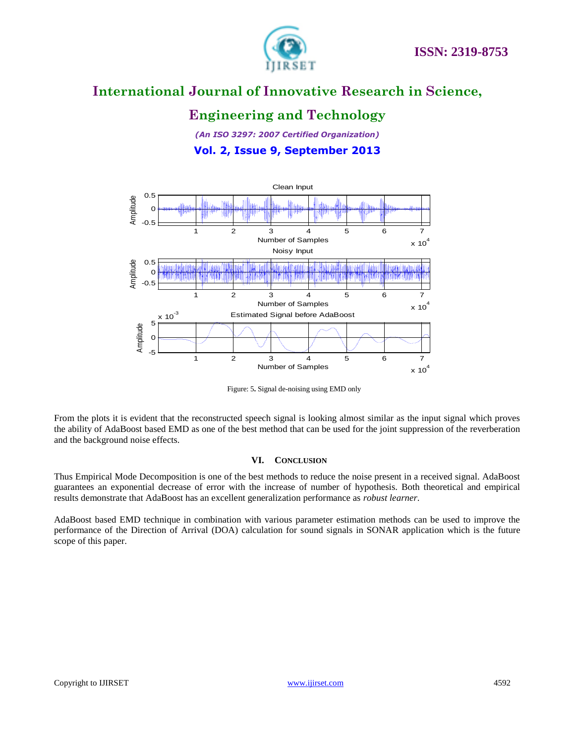

## **Engineering and Technology**

*(An ISO 3297: 2007 Certified Organization)* **Vol. 2, Issue 9, September 2013**



Figure: 5**.** Signal de-noising using EMD only

From the plots it is evident that the reconstructed speech signal is looking almost similar as the input signal which proves the ability of AdaBoost based EMD as one of the best method that can be used for the joint suppression of the reverberation and the background noise effects.

#### **VI. CONCLUSION**

Thus Empirical Mode Decomposition is one of the best methods to reduce the noise present in a received signal. AdaBoost guarantees an exponential decrease of error with the increase of number of hypothesis. Both theoretical and empirical results demonstrate that AdaBoost has an excellent generalization performance as *robust learner*.

AdaBoost based EMD technique in combination with various parameter estimation methods can be used to improve the performance of the Direction of Arrival (DOA) calculation for sound signals in SONAR application which is the future scope of this paper.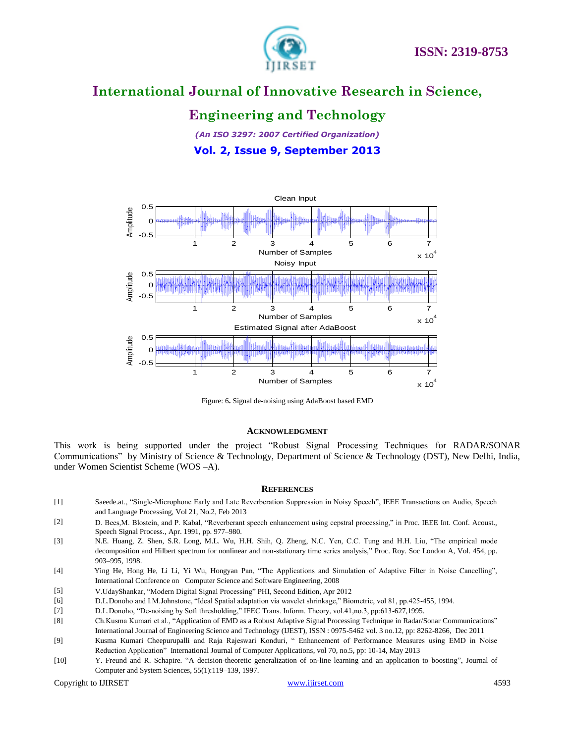

## **Engineering and Technology**

*(An ISO 3297: 2007 Certified Organization)*

**Vol. 2, Issue 9, September 2013**



Figure: 6**.** Signal de-noising using AdaBoost based EMD

#### **ACKNOWLEDGMENT**

This work is being supported under the project "Robust Signal Processing Techniques for RADAR/SONAR Communications" by Ministry of Science & Technology, Department of Science & Technology (DST), New Delhi, India, under Women Scientist Scheme (WOS –A).

#### **REFERENCES**

- [1] Saeede.at., "Single-Microphone Early and Late Reverberation Suppression in Noisy Speech", IEEE Transactions on Audio, Speech and Language Processing, Vol 21, No.2, Feb 2013
- [2] D. Bees, M. Blostein, and P. Kabal, "Reverberant speech enhancement using cepstral processing," in Proc. IEEE Int. Conf. Acoust., Speech Signal Process., Apr. 1991, pp. 977–980.
- [3] N.E. Huang, Z. Shen, S.R. Long, M.L. Wu, H.H. Shih, Q. Zheng, N.C. Yen, C.C. Tung and H.H. Liu, "The empirical mode decomposition and Hilbert spectrum for nonlinear and non-stationary time series analysis," Proc. Roy. Soc London A, Vol. 454, pp. 903–995, 1998.
- [4] Ying He, Hong He, Li Li, Yi Wu, Hongyan Pan, "The Applications and Simulation of Adaptive Filter in Noise Cancelling", International Conference on Computer Science and Software Engineering, 2008
- [5] V.UdayShankar, "Modern Digital Signal Processing" PHI, Second Edition, Apr 2012
- [6] D.L.Donoho and I.M.Johnstone, "Ideal Spatial adaptation via wavelet shrinkage," Biometric, vol 81, pp.425-455, 1994.
- [7] D.L.Donoho, "De-noising by Soft thresholding," IEEC Trans. Inform. Theory, vol.41,no.3, pp:613-627,1995.
- [8] Ch.Kusma Kumari et al., "Application of EMD as a Robust Adaptive Signal Processing Technique in Radar/Sonar Communications" International Journal of Engineering Science and Technology (IJEST), ISSN : 0975-5462 vol. 3 no.12, pp: 8262-8266, Dec 2011
- [9] Kusma Kumari Cheepurupalli and Raja Rajeswari Konduri, "Enhancement of Performance Measures using EMD in Noise Reduction Application" International Journal of Computer Applications, vol 70, no.5, pp: 10-14, May 2013
- [10] Y. Freund and R. Schapire. "A decision-theoretic generalization of on-line learning and an application to boosting", Journal of Computer and System Sciences, 55(1):119–139, 1997.

Copyright to IJIRSET and the control of the control [www.ijirset.com](http://www.ijirset.com/) and the control of the control of the control of the control of the control of the control of the control of the control of the control of the control of